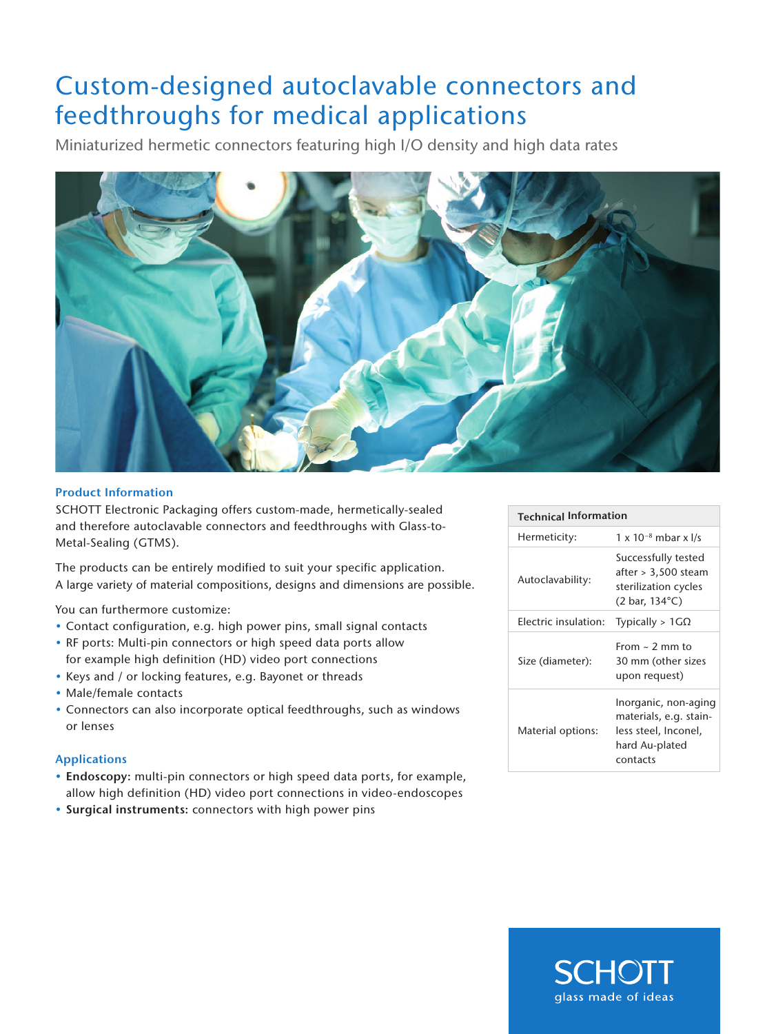# Custom-designed autoclavable connectors and feedthroughs for medical applications

Miniaturized hermetic connectors featuring high I/O density and high data rates



#### Product Information

SCHOTT Electronic Packaging offers custom-made, hermetically-sealed and therefore autoclavable connectors and feedthroughs with Glass-to-Metal-Sealing (GTMS).

The products can be entirely modified to suit your specific application. A large variety of material compositions, designs and dimensions are possible.

You can furthermore customize:

- Contact configuration, e.g. high power pins, small signal contacts
- RF ports: Multi-pin connectors or high speed data ports allow for example high definition (HD) video port connections
- Keys and / or locking features, e.g. Bayonet or threads
- Male/female contacts
- Connectors can also incorporate optical feedthroughs, such as windows or lenses

### Applications

- Endoscopy: multi-pin connectors or high speed data ports, for example, allow high definition (HD) video port connections in video-endoscopes
- Surgical instruments: connectors with high power pins

| <b>Technical Information</b> |                                                                                                              |
|------------------------------|--------------------------------------------------------------------------------------------------------------|
| Hermeticity:                 | $1 \times 10^{-8}$ mbar x I/s                                                                                |
| Autoclavability:             | Successfully tested<br>after > 3.500 steam<br>sterilization cycles<br>$(2 \text{ bar}, 134^{\circ}\text{C})$ |
| Electric insulation:         | Typically > $1G\Omega$                                                                                       |
| Size (diameter):             | From $\sim$ 2 mm to<br>30 mm (other sizes<br>upon request)                                                   |
| Material options:            | Inorganic, non-aging<br>materials, e.g. stain-<br>less steel, Inconel,<br>hard Au-plated<br>contacts         |